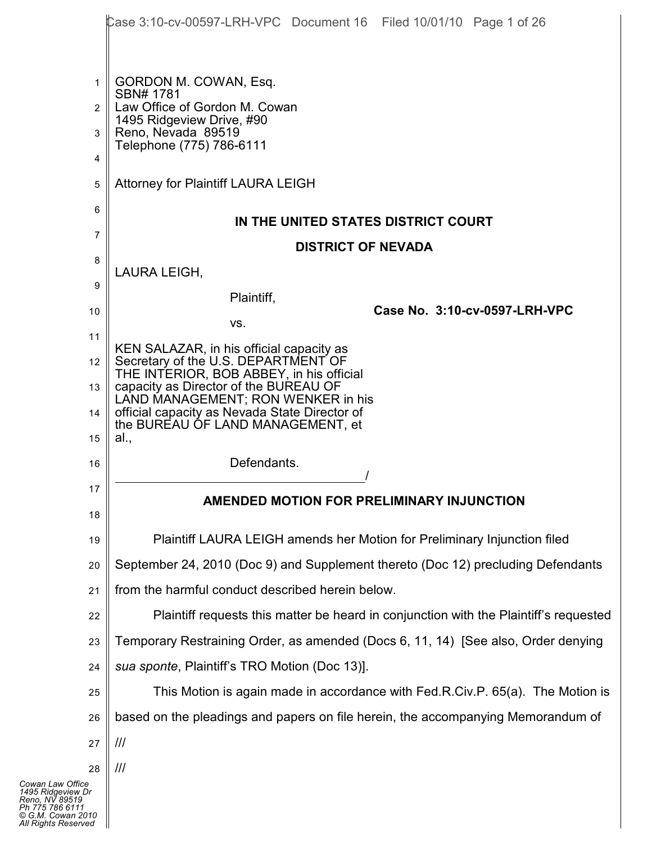|                | Case 3:10-cv-00597-LRH-VPC Document 16 Filed 10/01/10 Page 1 of 26                    |
|----------------|---------------------------------------------------------------------------------------|
|                |                                                                                       |
| $\mathbf 1$    | GORDON M. COWAN, Esq.                                                                 |
| $\overline{2}$ | SBN# 1781<br>Law Office of Gordon M. Cowan                                            |
| 3              | 1495 Ridgeview Drive, #90<br>Reno, Nevada 89519                                       |
| 4              | Telephone (775) 786-6111                                                              |
| 5              | Attorney for Plaintiff LAURA LEIGH                                                    |
| 6              |                                                                                       |
| 7              | IN THE UNITED STATES DISTRICT COURT                                                   |
| 8              | <b>DISTRICT OF NEVADA</b>                                                             |
| 9              | LAURA LEIGH,                                                                          |
| 10             | Plaintiff,<br>Case No. 3:10-cv-0597-LRH-VPC                                           |
| 11             | VS.                                                                                   |
| 12             | KEN SALAZAR, in his official capacity as<br>Secretary of the U.S. DEPARTMENT OF       |
| 13             | THE INTERIOR, BOB ABBEY, in his official<br>capacity as Director of the BUREAU OF     |
| 14             | LAND MANAGEMENT; RON WENKER in his<br>official capacity as Nevada State Director of   |
| 15             | the BUREAU OF LAND MANAGEMENT, et<br>al.,                                             |
| 16             | Defendants.                                                                           |
| 17             | AMENDED MOTION FOR PRELIMINARY INJUNCTION                                             |
| 18             |                                                                                       |
| 19             | Plaintiff LAURA LEIGH amends her Motion for Preliminary Injunction filed              |
| 20             | September 24, 2010 (Doc 9) and Supplement thereto (Doc 12) precluding Defendants      |
| 21             | from the harmful conduct described herein below.                                      |
| 22             | Plaintiff requests this matter be heard in conjunction with the Plaintiff's requested |
| 23             | Temporary Restraining Order, as amended (Docs 6, 11, 14) [See also, Order denying     |
| 24             | sua sponte, Plaintiff's TRO Motion (Doc 13)].                                         |
| 25             | This Motion is again made in accordance with Fed.R.Civ.P. 65(a). The Motion is        |
| 26             | based on the pleadings and papers on file herein, the accompanying Memorandum of      |
| 27             | III                                                                                   |
| 28             | ///                                                                                   |
| ce<br>Dr       |                                                                                       |

 $\parallel$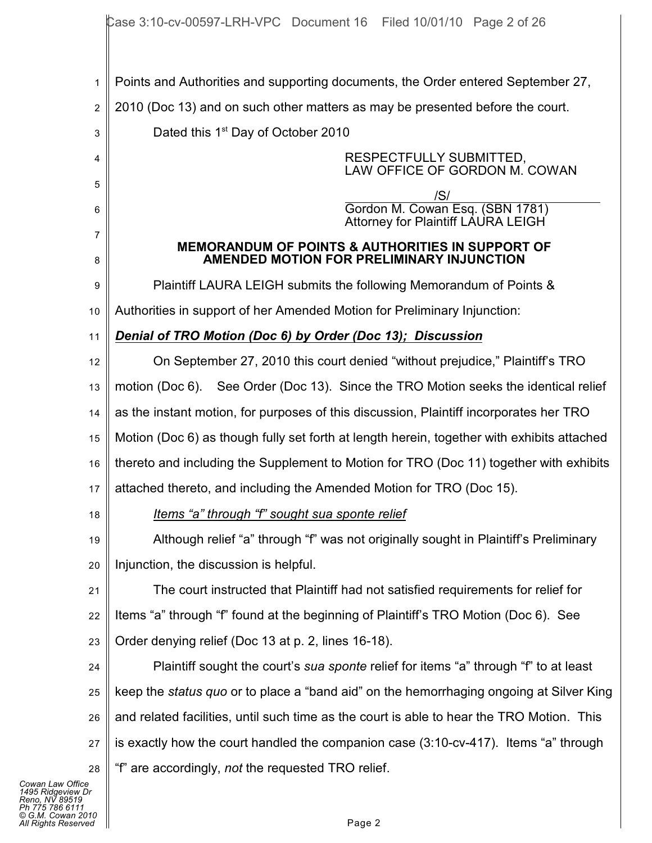1 2 3 4 5 6 7 8 9 10 11 12 13 14 15 16 17 18 19 20 21 22 23 24 25 26 27 28 Points and Authorities and supporting documents, the Order entered September 27, 2010 (Doc 13) and on such other matters as may be presented before the court. Dated this  $1<sup>st</sup>$  Day of October 2010 RESPECTFULLY SUBMITTED, LAW OFFICE OF GORDON M. COWAN /S/ Gordon M. Cowan Esq. (SBN 1781) Attorney for Plaintiff LAURA LEIGH **MEMORANDUM OF POINTS & AUTHORITIES IN SUPPORT OF AMENDED MOTION FOR PRELIMINARY INJUNCTION** Plaintiff LAURA LEIGH submits the following Memorandum of Points & Authorities in support of her Amended Motion for Preliminary Injunction: *Denial of TRO Motion (Doc 6) by Order (Doc 13); Discussion* On September 27, 2010 this court denied "without prejudice," Plaintiff's TRO motion (Doc 6). See Order (Doc 13). Since the TRO Motion seeks the identical relief as the instant motion, for purposes of this discussion, Plaintiff incorporates her TRO Motion (Doc 6) as though fully set forth at length herein, together with exhibits attached thereto and including the Supplement to Motion for TRO (Doc 11) together with exhibits attached thereto, and including the Amended Motion for TRO (Doc 15). *Items "a" through "f" sought sua sponte relief* Although relief "a" through "f" was not originally sought in Plaintiff's Preliminary Injunction, the discussion is helpful. The court instructed that Plaintiff had not satisfied requirements for relief for Items "a" through "f" found at the beginning of Plaintiff's TRO Motion (Doc 6). See Order denying relief (Doc 13 at p. 2, lines 16-18). Plaintiff sought the court's *sua sponte* relief for items "a" through "f" to at least keep the *status quo* or to place a "band aid" on the hemorrhaging ongoing at Silver King and related facilities, until such time as the court is able to hear the TRO Motion. This is exactly how the court handled the companion case (3:10-cv-417). Items "a" through "f" are accordingly, *not* the requested TRO relief.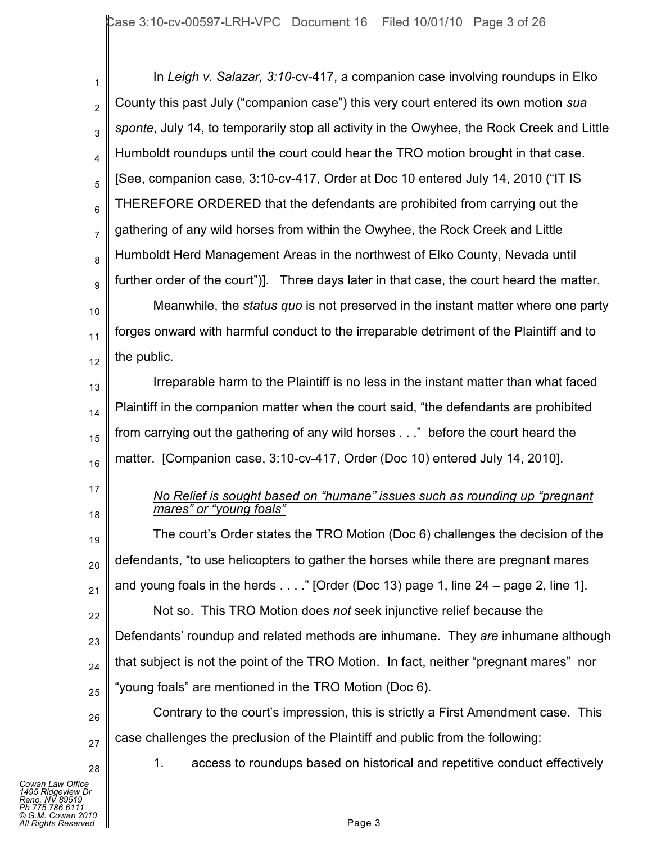1 2 3 4 5 6 7 8 9 In *Leigh v. Salazar, 3:10*-cv-417, a companion case involving roundups in Elko County this past July ("companion case") this very court entered its own motion *sua sponte*, July 14, to temporarily stop all activity in the Owyhee, the Rock Creek and Little Humboldt roundups until the court could hear the TRO motion brought in that case. [See, companion case, 3:10-cv-417, Order at Doc 10 entered July 14, 2010 ("IT IS THEREFORE ORDERED that the defendants are prohibited from carrying out the gathering of any wild horses from within the Owyhee, the Rock Creek and Little Humboldt Herd Management Areas in the northwest of Elko County, Nevada until further order of the court")]. Three days later in that case, the court heard the matter.

10 11 12 Meanwhile, the *status quo* is not preserved in the instant matter where one party forges onward with harmful conduct to the irreparable detriment of the Plaintiff and to the public.

13 14 15 16 Irreparable harm to the Plaintiff is no less in the instant matter than what faced Plaintiff in the companion matter when the court said, "the defendants are prohibited from carrying out the gathering of any wild horses . . ." before the court heard the matter. [Companion case, 3:10-cv-417, Order (Doc 10) entered July 14, 2010].

- 17
- 18

#### *No Relief is sought based on "humane" issues such as rounding up "pregnant mares" or "young foals"*

19 20 21 22 23 24 25 The court's Order states the TRO Motion (Doc 6) challenges the decision of the defendants, "to use helicopters to gather the horses while there are pregnant mares and young foals in the herds  $\dots$  " [Order (Doc 13) page 1, line 24 – page 2, line 1]. Not so. This TRO Motion does *not* seek injunctive relief because the Defendants' roundup and related methods are inhumane. They *are* inhumane although that subject is not the point of the TRO Motion. In fact, neither "pregnant mares" nor "young foals" are mentioned in the TRO Motion (Doc 6).

26 27 Contrary to the court's impression, this is strictly a First Amendment case. This case challenges the preclusion of the Plaintiff and public from the following:

1. access to roundups based on historical and repetitive conduct effectively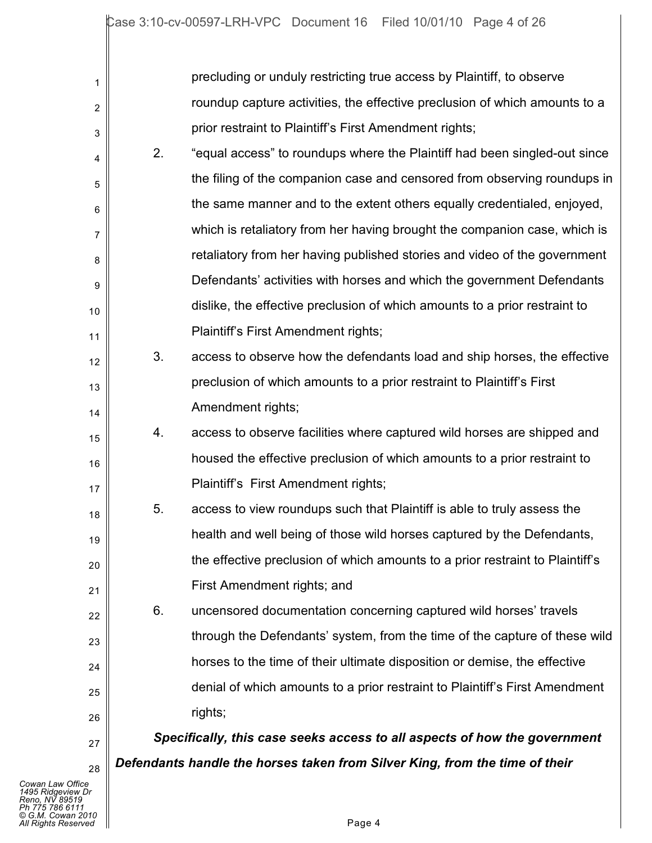| 1              |    | precluding or unduly restricting true access by Plaintiff, to observe         |
|----------------|----|-------------------------------------------------------------------------------|
| $\overline{2}$ |    | roundup capture activities, the effective preclusion of which amounts to a    |
| 3              |    | prior restraint to Plaintiff's First Amendment rights;                        |
| 4              | 2. | "equal access" to roundups where the Plaintiff had been singled-out since     |
| 5              |    | the filing of the companion case and censored from observing roundups in      |
| 6              |    | the same manner and to the extent others equally credentialed, enjoyed,       |
| 7              |    | which is retaliatory from her having brought the companion case, which is     |
| 8              |    | retaliatory from her having published stories and video of the government     |
| 9              |    | Defendants' activities with horses and which the government Defendants        |
| 10             |    | dislike, the effective preclusion of which amounts to a prior restraint to    |
| 11             |    | Plaintiff's First Amendment rights;                                           |
| 12             | 3. | access to observe how the defendants load and ship horses, the effective      |
| 13             |    | preclusion of which amounts to a prior restraint to Plaintiff's First         |
| 14             |    | Amendment rights;                                                             |
| 15             | 4. | access to observe facilities where captured wild horses are shipped and       |
| 16             |    | housed the effective preclusion of which amounts to a prior restraint to      |
| 17             |    | Plaintiff's First Amendment rights;                                           |
| 18             | 5. | access to view roundups such that Plaintiff is able to truly assess the       |
| 19             |    | health and well being of those wild horses captured by the Defendants,        |
| 20             |    | the effective preclusion of which amounts to a prior restraint to Plaintiff's |
| 21             |    | First Amendment rights; and                                                   |
| 22             | 6. | uncensored documentation concerning captured wild horses' travels             |
| 23             |    | through the Defendants' system, from the time of the capture of these wild    |
| 24             |    | horses to the time of their ultimate disposition or demise, the effective     |
| 25             |    | denial of which amounts to a prior restraint to Plaintiff's First Amendment   |
| 26             |    | rights;                                                                       |
| 27             |    | Specifically, this case seeks access to all aspects of how the government     |
| 28             |    | Defendants handle the horses taken from Silver King, from the time of their   |
| е              |    |                                                                               |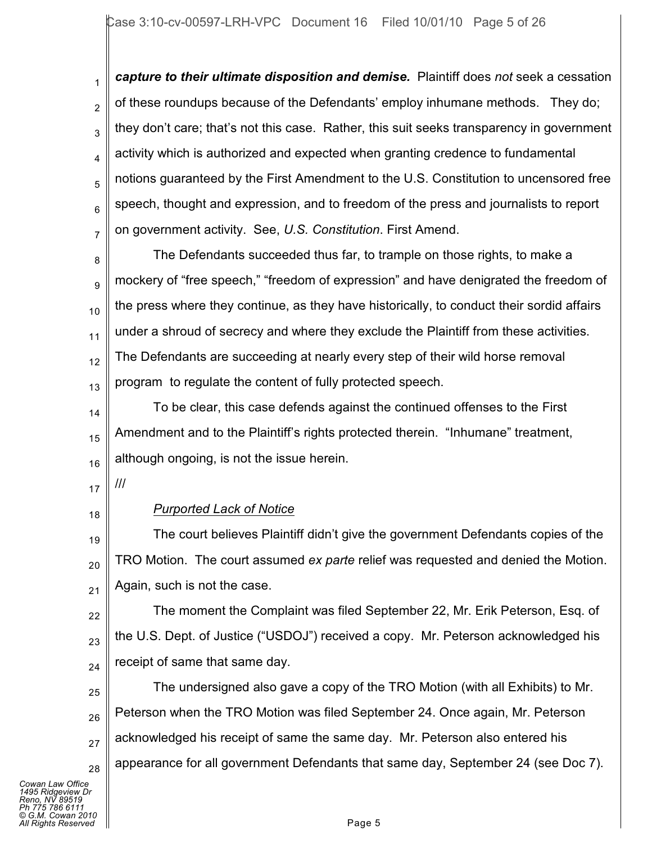1 2 3 4 5 6 7 *capture to their ultimate disposition and demise.* Plaintiff does *not* seek a cessation of these roundups because of the Defendants' employ inhumane methods. They do; they don't care; that's not this case. Rather, this suit seeks transparency in government activity which is authorized and expected when granting credence to fundamental notions guaranteed by the First Amendment to the U.S. Constitution to uncensored free speech, thought and expression, and to freedom of the press and journalists to report on government activity. See, *U.S. Constitution*. First Amend.

8 9 10 11 12 13 The Defendants succeeded thus far, to trample on those rights, to make a mockery of "free speech," "freedom of expression" and have denigrated the freedom of the press where they continue, as they have historically, to conduct their sordid affairs under a shroud of secrecy and where they exclude the Plaintiff from these activities. The Defendants are succeeding at nearly every step of their wild horse removal program to regulate the content of fully protected speech.

14 15 16 To be clear, this case defends against the continued offenses to the First Amendment and to the Plaintiff's rights protected therein. "Inhumane" treatment, although ongoing, is not the issue herein.

- 17 ///
- 18

# *Purported Lack of Notice*

19 20 21 The court believes Plaintiff didn't give the government Defendants copies of the TRO Motion. The court assumed *ex parte* relief was requested and denied the Motion. Again, such is not the case.

22 23 24 The moment the Complaint was filed September 22, Mr. Erik Peterson, Esq. of the U.S. Dept. of Justice ("USDOJ") received a copy. Mr. Peterson acknowledged his receipt of same that same day.

25 26 27 28 The undersigned also gave a copy of the TRO Motion (with all Exhibits) to Mr. Peterson when the TRO Motion was filed September 24. Once again, Mr. Peterson acknowledged his receipt of same the same day. Mr. Peterson also entered his appearance for all government Defendants that same day, September 24 (see Doc 7).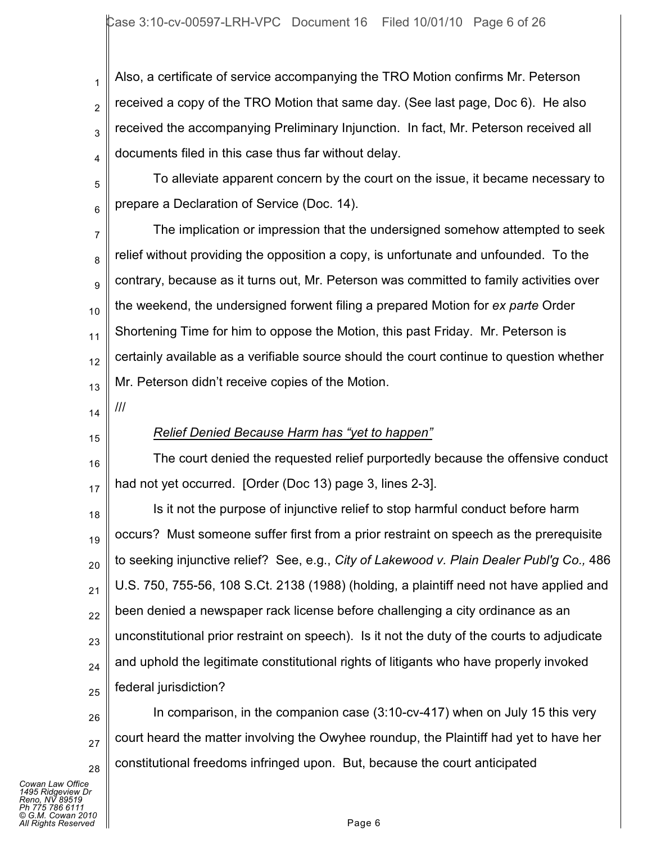1 2 3 4 Also, a certificate of service accompanying the TRO Motion confirms Mr. Peterson received a copy of the TRO Motion that same day. (See last page, Doc 6). He also received the accompanying Preliminary Injunction. In fact, Mr. Peterson received all documents filed in this case thus far without delay.

5 6 To alleviate apparent concern by the court on the issue, it became necessary to prepare a Declaration of Service (Doc. 14).

7 8 9 10 11 12 13 The implication or impression that the undersigned somehow attempted to seek relief without providing the opposition a copy, is unfortunate and unfounded. To the contrary, because as it turns out, Mr. Peterson was committed to family activities over the weekend, the undersigned forwent filing a prepared Motion for *ex parte* Order Shortening Time for him to oppose the Motion, this past Friday. Mr. Peterson is certainly available as a verifiable source should the court continue to question whether Mr. Peterson didn't receive copies of the Motion.

- 14 ///
- 15

#### *Relief Denied Because Harm has "yet to happen"*

16 17 The court denied the requested relief purportedly because the offensive conduct had not yet occurred. [Order (Doc 13) page 3, lines 2-3].

18 19 20 21 22 23 24 25 Is it not the purpose of injunctive relief to stop harmful conduct before harm occurs? Must someone suffer first from a prior restraint on speech as the prerequisite to seeking injunctive relief? See, e.g., *City of Lakewood v. Plain Dealer Publ'g Co.,* 486 U.S. 750, 755-56, 108 S.Ct. 2138 (1988) (holding, a plaintiff need not have applied and been denied a newspaper rack license before challenging a city ordinance as an unconstitutional prior restraint on speech). Is it not the duty of the courts to adjudicate and uphold the legitimate constitutional rights of litigants who have properly invoked federal jurisdiction?

26 27 28 In comparison, in the companion case (3:10-cv-417) when on July 15 this very court heard the matter involving the Owyhee roundup, the Plaintiff had yet to have her constitutional freedoms infringed upon. But, because the court anticipated

*Cowan Law Office 1495 Ridgeview Dr Reno, NV 89519 Ph 775 786 6111 © G.M. Cowan 2010 All Rights Reserved* Page 6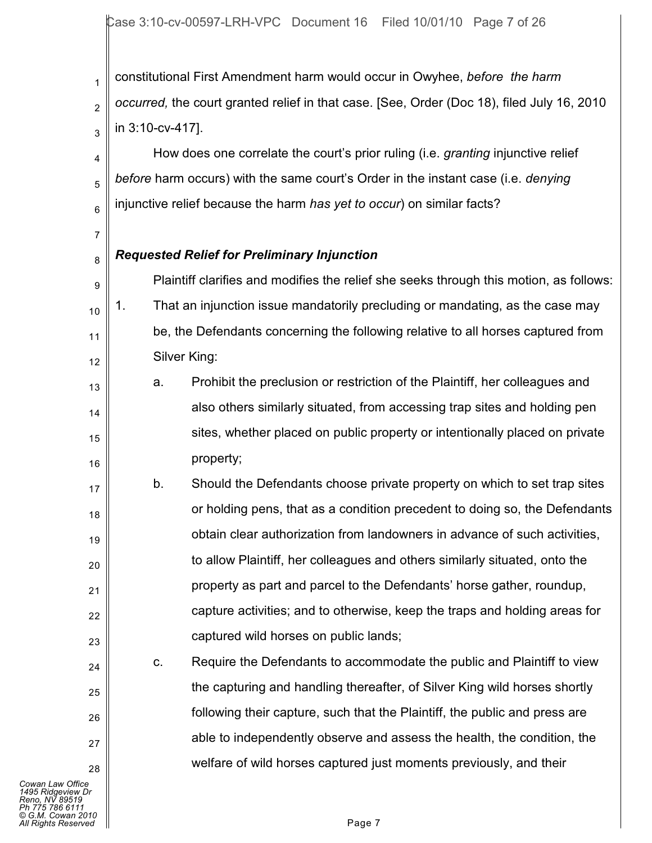1 2 3 constitutional First Amendment harm would occur in Owyhee, *before the harm occurred,* the court granted relief in that case. [See, Order (Doc 18), filed July 16, 2010 in 3:10-cv-417].

4 5 6 How does one correlate the court's prior ruling (i.e. *granting* injunctive relief *before* harm occurs) with the same court's Order in the instant case (i.e. *denying* injunctive relief because the harm *has yet to occur*) on similar facts?

*Requested Relief for Preliminary Injunction*

7

8

17

21

24

25

26

27

28

9 10 11 12 Plaintiff clarifies and modifies the relief she seeks through this motion, as follows: 1. That an injunction issue mandatorily precluding or mandating, as the case may be, the Defendants concerning the following relative to all horses captured from Silver King:

- 13 14 15 16 a. Prohibit the preclusion or restriction of the Plaintiff, her colleagues and also others similarly situated, from accessing trap sites and holding pen sites, whether placed on public property or intentionally placed on private property;
- 18 19 20 22 23 b. Should the Defendants choose private property on which to set trap sites or holding pens, that as a condition precedent to doing so, the Defendants obtain clear authorization from landowners in advance of such activities, to allow Plaintiff, her colleagues and others similarly situated, onto the property as part and parcel to the Defendants' horse gather, roundup, capture activities; and to otherwise, keep the traps and holding areas for captured wild horses on public lands;

c. Require the Defendants to accommodate the public and Plaintiff to view the capturing and handling thereafter, of Silver King wild horses shortly following their capture, such that the Plaintiff, the public and press are able to independently observe and assess the health, the condition, the welfare of wild horses captured just moments previously, and their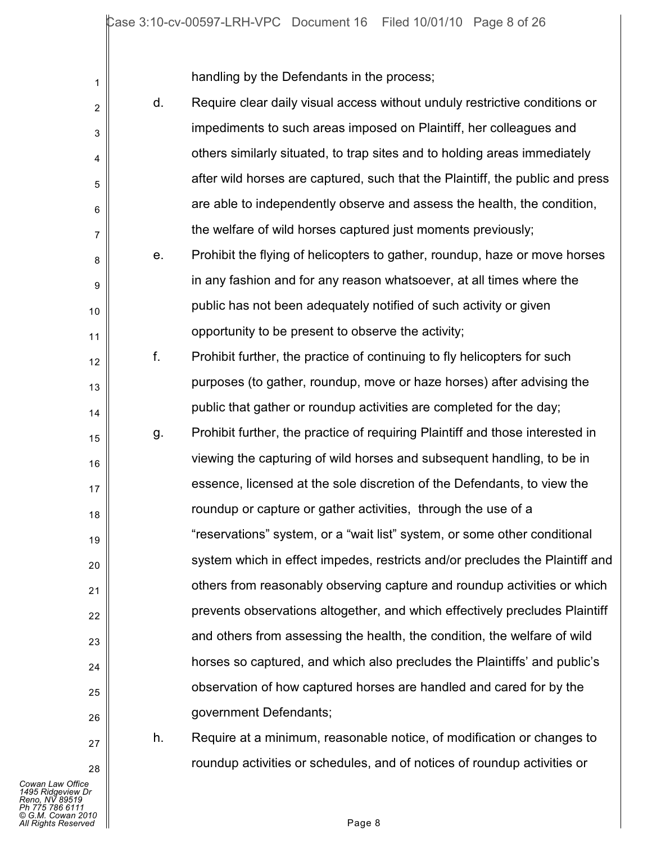handling by the Defendants in the process;

| 1                |    | manding by the Defendants in the process,                                     |
|------------------|----|-------------------------------------------------------------------------------|
| $\overline{2}$   | d. | Require clear daily visual access without unduly restrictive conditions or    |
| 3                |    | impediments to such areas imposed on Plaintiff, her colleagues and            |
| 4                |    | others similarly situated, to trap sites and to holding areas immediately     |
| 5                |    | after wild horses are captured, such that the Plaintiff, the public and press |
| 6                |    | are able to independently observe and assess the health, the condition,       |
| $\overline{7}$   |    | the welfare of wild horses captured just moments previously;                  |
| 8                | е. | Prohibit the flying of helicopters to gather, roundup, haze or move horses    |
| $\boldsymbol{9}$ |    | in any fashion and for any reason whatsoever, at all times where the          |
| 10               |    | public has not been adequately notified of such activity or given             |
| 11               |    | opportunity to be present to observe the activity;                            |
| 12               | f. | Prohibit further, the practice of continuing to fly helicopters for such      |
| 13               |    | purposes (to gather, roundup, move or haze horses) after advising the         |
| 14               |    | public that gather or roundup activities are completed for the day;           |
| 15               | g. | Prohibit further, the practice of requiring Plaintiff and those interested in |
| 16               |    | viewing the capturing of wild horses and subsequent handling, to be in        |
| 17               |    | essence, licensed at the sole discretion of the Defendants, to view the       |
| 18               |    | roundup or capture or gather activities, through the use of a                 |
| 19               |    | "reservations" system, or a "wait list" system, or some other conditional     |
| 20               |    | system which in effect impedes, restricts and/or precludes the Plaintiff and  |
| 21               |    | others from reasonably observing capture and roundup activities or which      |
| 22               |    | prevents observations altogether, and which effectively precludes Plaintiff   |
| 23               |    | and others from assessing the health, the condition, the welfare of wild      |
| 24               |    | horses so captured, and which also precludes the Plaintiffs' and public's     |
| 25               |    | observation of how captured horses are handled and cared for by the           |
| 26               |    | government Defendants;                                                        |
|                  |    |                                                                               |

27 28 h. Require at a minimum, reasonable notice, of modification or changes to

roundup activities or schedules, and of notices of roundup activities or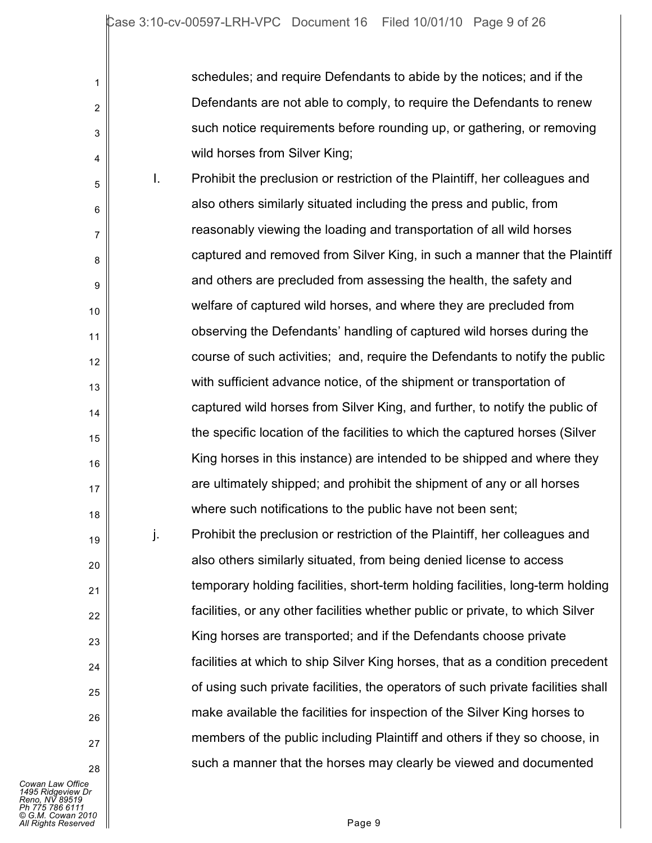schedules; and require Defendants to abide by the notices; and if the Defendants are not able to comply, to require the Defendants to renew such notice requirements before rounding up, or gathering, or removing wild horses from Silver King;

5 6 7 8 9 10 11 12 13 14 15 16 17 18 19 20 21 22 23  $24$ I. Prohibit the preclusion or restriction of the Plaintiff, her colleagues and also others similarly situated including the press and public, from reasonably viewing the loading and transportation of all wild horses captured and removed from Silver King, in such a manner that the Plaintiff and others are precluded from assessing the health, the safety and welfare of captured wild horses, and where they are precluded from observing the Defendants' handling of captured wild horses during the course of such activities; and, require the Defendants to notify the public with sufficient advance notice, of the shipment or transportation of captured wild horses from Silver King, and further, to notify the public of the specific location of the facilities to which the captured horses (Silver King horses in this instance) are intended to be shipped and where they are ultimately shipped; and prohibit the shipment of any or all horses where such notifications to the public have not been sent; j. Prohibit the preclusion or restriction of the Plaintiff, her colleagues and also others similarly situated, from being denied license to access temporary holding facilities, short-term holding facilities, long-term holding facilities, or any other facilities whether public or private, to which Silver King horses are transported; and if the Defendants choose private facilities at which to ship Silver King horses, that as a condition precedent

*Cowan Law Office 1495 Ridgeview Dr Reno, NV 89519 Ph 775 786 6111 © G.M. Cowan 2010 All Rights Reserved* Page 9

25

26

27

28

1

2

3

4

of using such private facilities, the operators of such private facilities shall

make available the facilities for inspection of the Silver King horses to

members of the public including Plaintiff and others if they so choose, in

such a manner that the horses may clearly be viewed and documented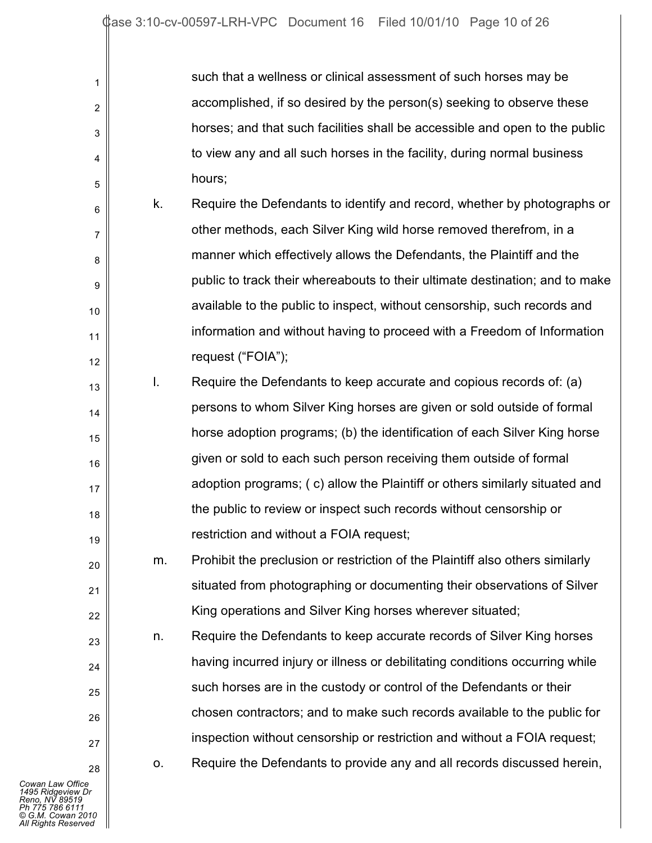| 1  |    | such that a wellness or clinical assessment of such horses may be             |
|----|----|-------------------------------------------------------------------------------|
| 2  |    | accomplished, if so desired by the person(s) seeking to observe these         |
| 3  |    | horses; and that such facilities shall be accessible and open to the public   |
| 4  |    | to view any and all such horses in the facility, during normal business       |
| 5  |    | hours;                                                                        |
| 6  | k. | Require the Defendants to identify and record, whether by photographs or      |
| 7  |    | other methods, each Silver King wild horse removed therefrom, in a            |
| 8  |    | manner which effectively allows the Defendants, the Plaintiff and the         |
| 9  |    | public to track their whereabouts to their ultimate destination; and to make  |
| 10 |    | available to the public to inspect, without censorship, such records and      |
| 11 |    | information and without having to proceed with a Freedom of Information       |
| 12 |    | request ("FOIA");                                                             |
| 13 | I. | Require the Defendants to keep accurate and copious records of: (a)           |
| 14 |    | persons to whom Silver King horses are given or sold outside of formal        |
| 15 |    | horse adoption programs; (b) the identification of each Silver King horse     |
| 16 |    | given or sold to each such person receiving them outside of formal            |
| 17 |    | adoption programs; (c) allow the Plaintiff or others similarly situated and   |
| 18 |    | the public to review or inspect such records without censorship or            |
| 19 |    | restriction and without a FOIA request;                                       |
| 20 | m. | Prohibit the preclusion or restriction of the Plaintiff also others similarly |
| 21 |    | situated from photographing or documenting their observations of Silver       |
| 22 |    | King operations and Silver King horses wherever situated;                     |
| 23 | n. | Require the Defendants to keep accurate records of Silver King horses         |
| 24 |    | having incurred injury or illness or debilitating conditions occurring while  |
| 25 |    | such horses are in the custody or control of the Defendants or their          |
| 26 |    | chosen contractors; and to make such records available to the public for      |
| 27 |    | inspection without censorship or restriction and without a FOIA request;      |
| 28 | 0. | Require the Defendants to provide any and all records discussed herein,       |
| э  |    |                                                                               |

I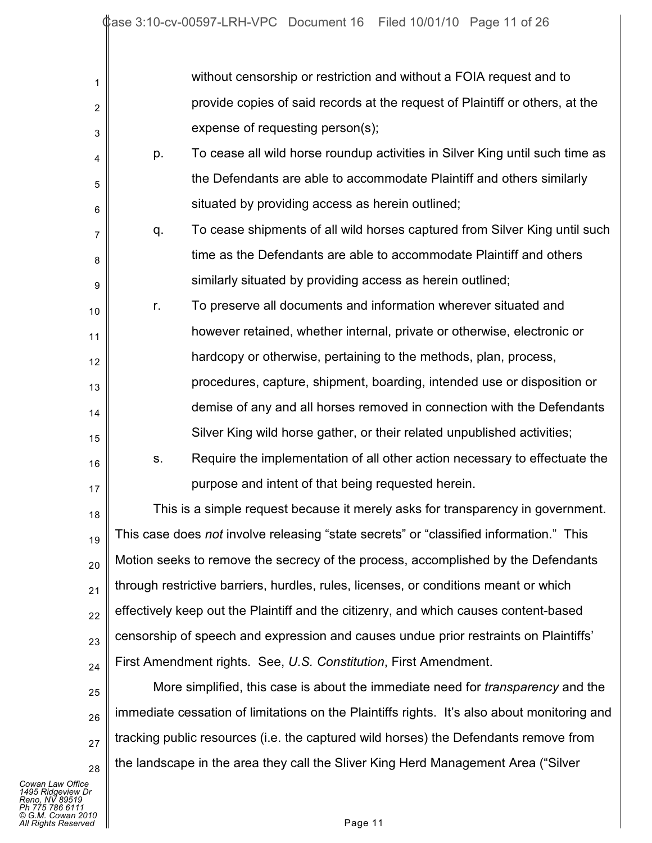| 1  |                                                                                        | without censorship or restriction and without a FOIA request and to                         |  |
|----|----------------------------------------------------------------------------------------|---------------------------------------------------------------------------------------------|--|
| 2  | provide copies of said records at the request of Plaintiff or others, at the           |                                                                                             |  |
| 3  |                                                                                        | expense of requesting person(s);                                                            |  |
| 4  | p.                                                                                     | To cease all wild horse roundup activities in Silver King until such time as                |  |
| 5  |                                                                                        | the Defendants are able to accommodate Plaintiff and others similarly                       |  |
| 6  |                                                                                        | situated by providing access as herein outlined;                                            |  |
| 7  | q.                                                                                     | To cease shipments of all wild horses captured from Silver King until such                  |  |
| 8  |                                                                                        | time as the Defendants are able to accommodate Plaintiff and others                         |  |
| 9  |                                                                                        | similarly situated by providing access as herein outlined;                                  |  |
| 10 | r.                                                                                     | To preserve all documents and information wherever situated and                             |  |
| 11 |                                                                                        | however retained, whether internal, private or otherwise, electronic or                     |  |
| 12 |                                                                                        | hardcopy or otherwise, pertaining to the methods, plan, process,                            |  |
| 13 |                                                                                        | procedures, capture, shipment, boarding, intended use or disposition or                     |  |
| 14 |                                                                                        | demise of any and all horses removed in connection with the Defendants                      |  |
| 15 |                                                                                        | Silver King wild horse gather, or their related unpublished activities;                     |  |
| 16 | S.                                                                                     | Require the implementation of all other action necessary to effectuate the                  |  |
| 17 |                                                                                        | purpose and intent of that being requested herein.                                          |  |
| 18 |                                                                                        | This is a simple request because it merely asks for transparency in government.             |  |
| 19 | This case does not involve releasing "state secrets" or "classified information." This |                                                                                             |  |
| 20 | Motion seeks to remove the secrecy of the process, accomplished by the Defendants      |                                                                                             |  |
| 21 | through restrictive barriers, hurdles, rules, licenses, or conditions meant or which   |                                                                                             |  |
| 22 | effectively keep out the Plaintiff and the citizenry, and which causes content-based   |                                                                                             |  |
| 23 | censorship of speech and expression and causes undue prior restraints on Plaintiffs'   |                                                                                             |  |
| 24 | First Amendment rights. See, U.S. Constitution, First Amendment.                       |                                                                                             |  |
| 25 |                                                                                        | More simplified, this case is about the immediate need for <i>transparency</i> and the      |  |
| 26 |                                                                                        | immediate cessation of limitations on the Plaintiffs rights. It's also about monitoring and |  |
| 27 | tracking public resources (i.e. the captured wild horses) the Defendants remove from   |                                                                                             |  |
| 28 |                                                                                        | the landscape in the area they call the Sliver King Herd Management Area ("Silver           |  |

*Cowan Law Office*<br>1495 Ridgeview Dr<br>Reno, NV 89519<br>Ph 775 786 6111<br>© G.M. Cowan 2010<br>All Rights Reserved Page 11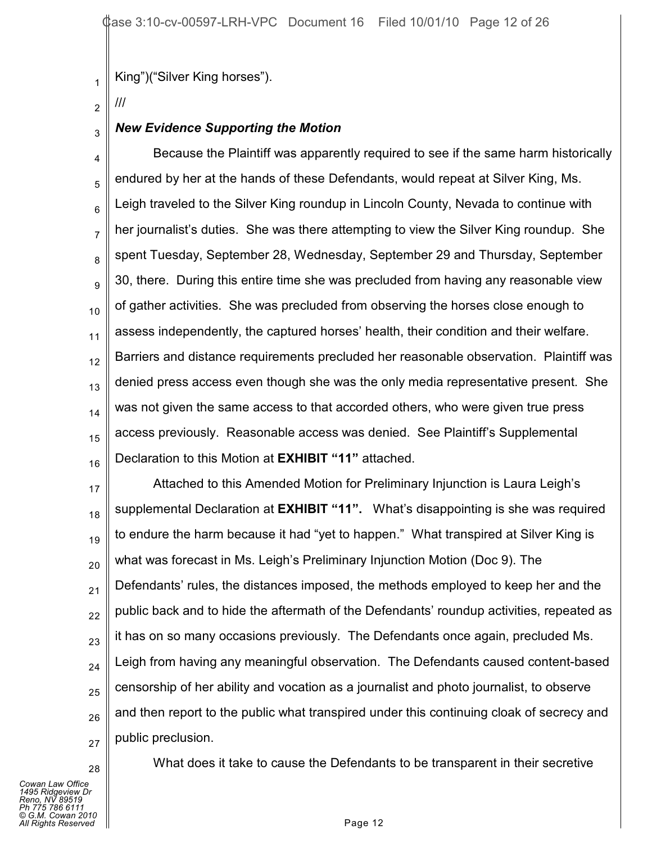King")("Silver King horses").

2 ///

1

#### 3 *New Evidence Supporting the Motion*

4 5 6 7 8 9 10 11 12 13 14 15 16 Because the Plaintiff was apparently required to see if the same harm historically endured by her at the hands of these Defendants, would repeat at Silver King, Ms. Leigh traveled to the Silver King roundup in Lincoln County, Nevada to continue with her journalist's duties. She was there attempting to view the Silver King roundup. She spent Tuesday, September 28, Wednesday, September 29 and Thursday, September 30, there. During this entire time she was precluded from having any reasonable view of gather activities. She was precluded from observing the horses close enough to assess independently, the captured horses' health, their condition and their welfare. Barriers and distance requirements precluded her reasonable observation. Plaintiff was denied press access even though she was the only media representative present. She was not given the same access to that accorded others, who were given true press access previously. Reasonable access was denied. See Plaintiff's Supplemental Declaration to this Motion at **EXHIBIT "11"** attached.

17 18 19 20 21 22 23 24 25 26 27 Attached to this Amended Motion for Preliminary Injunction is Laura Leigh's supplemental Declaration at **EXHIBIT "11".** What's disappointing is she was required to endure the harm because it had "yet to happen." What transpired at Silver King is what was forecast in Ms. Leigh's Preliminary Injunction Motion (Doc 9). The Defendants' rules, the distances imposed, the methods employed to keep her and the public back and to hide the aftermath of the Defendants' roundup activities, repeated as it has on so many occasions previously. The Defendants once again, precluded Ms. Leigh from having any meaningful observation. The Defendants caused content-based censorship of her ability and vocation as a journalist and photo journalist, to observe and then report to the public what transpired under this continuing cloak of secrecy and public preclusion.

*Cowan Law Office 1495 Ridgeview Dr Reno, NV 89519 Ph 775 786 6111 © G.M. Cowan 2010 All Rights Reserved* Page 12

28

What does it take to cause the Defendants to be transparent in their secretive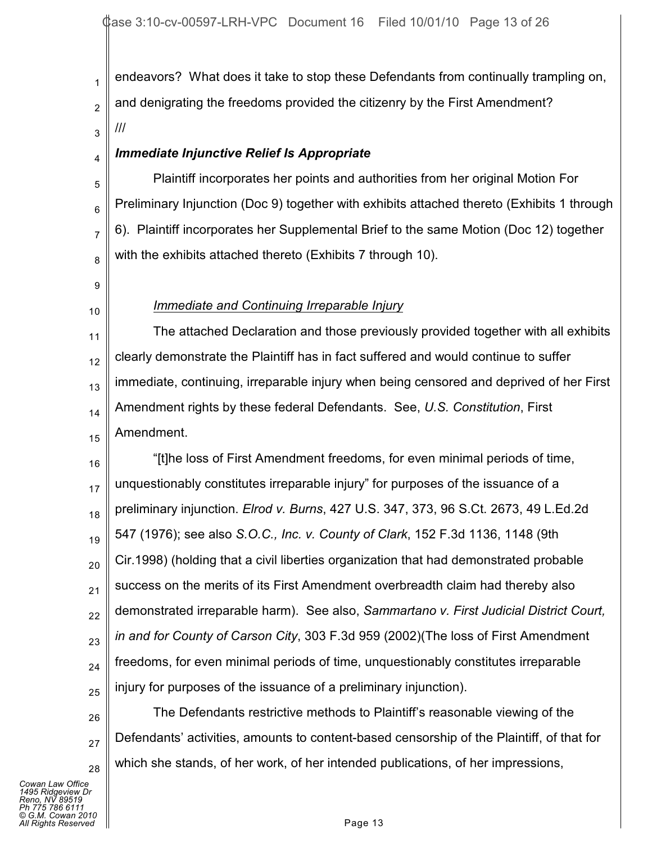1 2 3 endeavors? What does it take to stop these Defendants from continually trampling on, and denigrating the freedoms provided the citizenry by the First Amendment? ///

# *Immediate Injunctive Relief Is Appropriate*

5 6 7 8 Plaintiff incorporates her points and authorities from her original Motion For Preliminary Injunction (Doc 9) together with exhibits attached thereto (Exhibits 1 through 6). Plaintiff incorporates her Supplemental Brief to the same Motion (Doc 12) together with the exhibits attached thereto (Exhibits 7 through 10).

9

10

4

# *Immediate and Continuing Irreparable Injury*

11 12 13 14 15 The attached Declaration and those previously provided together with all exhibits clearly demonstrate the Plaintiff has in fact suffered and would continue to suffer immediate, continuing, irreparable injury when being censored and deprived of her First Amendment rights by these federal Defendants. See, *U.S. Constitution*, First Amendment.

16 17 18 19 20 21 22 23 24 25 "[t]he loss of First Amendment freedoms, for even minimal periods of time, unquestionably constitutes irreparable injury" for purposes of the issuance of a preliminary injunction. *Elrod v. Burns*, 427 U.S. 347, 373, 96 S.Ct. 2673, 49 L.Ed.2d 547 (1976); see also *S.O.C., Inc. v. County of Clark*, 152 F.3d 1136, 1148 (9th Cir.1998) (holding that a civil liberties organization that had demonstrated probable success on the merits of its First Amendment overbreadth claim had thereby also demonstrated irreparable harm). See also, *Sammartano v. First Judicial District Court, in and for County of Carson City*, 303 F.3d 959 (2002)(The loss of First Amendment freedoms, for even minimal periods of time, unquestionably constitutes irreparable injury for purposes of the issuance of a preliminary injunction).

26 28 The Defendants restrictive methods to Plaintiff's reasonable viewing of the Defendants' activities, amounts to content-based censorship of the Plaintiff, of that for which she stands, of her work, of her intended publications, of her impressions,

*Cowan Law Office 1495 Ridgeview Dr Reno, NV 89519 Ph 775 786 6111 © G.M. Cowan 2010 Alights Reserved* Page 13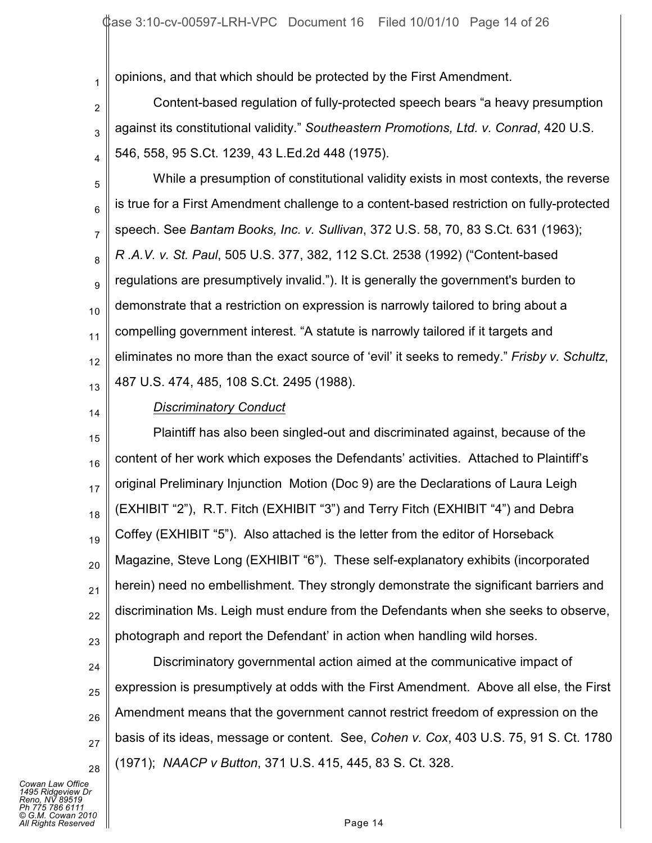opinions, and that which should be protected by the First Amendment.

2 3 4 Content-based regulation of fully-protected speech bears "a heavy presumption against its constitutional validity." *Southeastern Promotions, Ltd. v. Conrad*, 420 U.S. 546, 558, 95 S.Ct. 1239, 43 L.Ed.2d 448 (1975).

5 6 7 8 9 10 11 12 13 While a presumption of constitutional validity exists in most contexts, the reverse is true for a First Amendment challenge to a content-based restriction on fully-protected speech. See *Bantam Books, Inc. v. Sullivan*, 372 U.S. 58, 70, 83 S.Ct. 631 (1963); *R .A.V. v. St. Paul*, 505 U.S. 377, 382, 112 S.Ct. 2538 (1992) ("Content-based regulations are presumptively invalid."). It is generally the government's burden to demonstrate that a restriction on expression is narrowly tailored to bring about a compelling government interest. "A statute is narrowly tailored if it targets and eliminates no more than the exact source of 'evil' it seeks to remedy." *Frisby v. Schultz*, 487 U.S. 474, 485, 108 S.Ct. 2495 (1988).

14

1

#### *Discriminatory Conduct*

15 16 17 18 19 20 21 22 23 Plaintiff has also been singled-out and discriminated against, because of the content of her work which exposes the Defendants' activities. Attached to Plaintiff's original Preliminary Injunction Motion (Doc 9) are the Declarations of Laura Leigh (EXHIBIT "2"), R.T. Fitch (EXHIBIT "3") and Terry Fitch (EXHIBIT "4") and Debra Coffey (EXHIBIT "5"). Also attached is the letter from the editor of Horseback Magazine, Steve Long (EXHIBIT "6"). These self-explanatory exhibits (incorporated herein) need no embellishment. They strongly demonstrate the significant barriers and discrimination Ms. Leigh must endure from the Defendants when she seeks to observe, photograph and report the Defendant' in action when handling wild horses.

24 25 26 27 28 Discriminatory governmental action aimed at the communicative impact of expression is presumptively at odds with the First Amendment. Above all else, the First Amendment means that the government cannot restrict freedom of expression on the basis of its ideas, message or content. See, *Cohen v. Cox*, 403 U.S. 75, 91 S. Ct. 1780 (1971); *NAACP v Button*, 371 U.S. 415, 445, 83 S. Ct. 328.

*Cowan Law Office 1495 Ridgeview Dr Reno, NV 89519 Ph 775 786 6111 © G.M. Cowan 2010 Alights Reserved* Page 14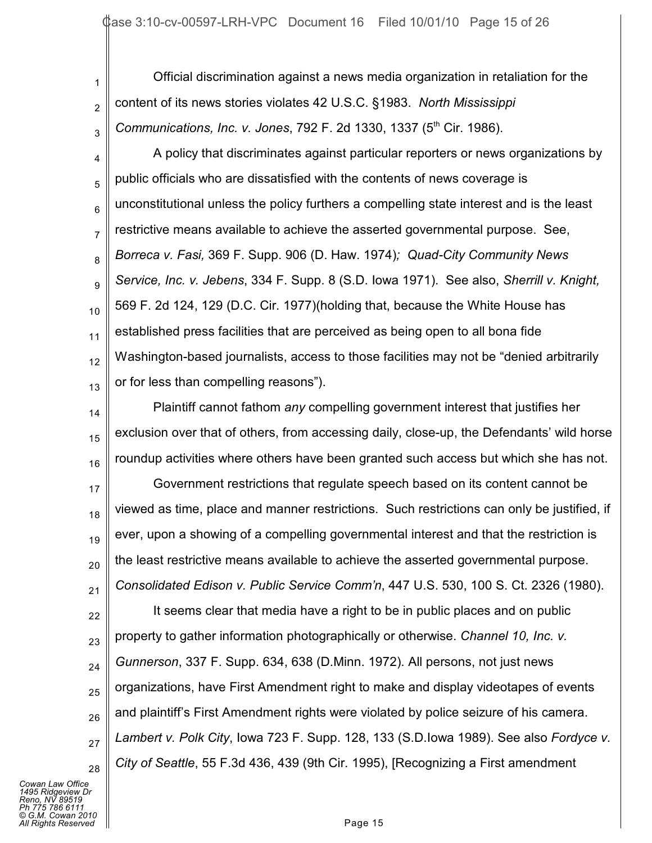1 2 3 Official discrimination against a news media organization in retaliation for the content of its news stories violates 42 U.S.C. §1983. *North Mississippi Communications, Inc. v. Jones, 792 F. 2d 1330, 1337 (5<sup>th</sup> Cir. 1986).* 

4 5 6 7 8 9 10 11 12 13 A policy that discriminates against particular reporters or news organizations by public officials who are dissatisfied with the contents of news coverage is unconstitutional unless the policy furthers a compelling state interest and is the least restrictive means available to achieve the asserted governmental purpose. See, *Borreca v. Fasi,* 369 F. Supp. 906 (D. Haw. 1974)*; Quad-City Community News Service, Inc. v. Jebens*, 334 F. Supp. 8 (S.D. Iowa 1971). See also, *Sherrill v. Knight,* 569 F. 2d 124, 129 (D.C. Cir. 1977)(holding that, because the White House has established press facilities that are perceived as being open to all bona fide Washington-based journalists, access to those facilities may not be "denied arbitrarily or for less than compelling reasons").

14 15 16 Plaintiff cannot fathom *any* compelling government interest that justifies her exclusion over that of others, from accessing daily, close-up, the Defendants' wild horse roundup activities where others have been granted such access but which she has not.

17 18 19 20 21 Government restrictions that regulate speech based on its content cannot be viewed as time, place and manner restrictions. Such restrictions can only be justified, if ever, upon a showing of a compelling governmental interest and that the restriction is the least restrictive means available to achieve the asserted governmental purpose. *Consolidated Edison v. Public Service Comm'n*, 447 U.S. 530, 100 S. Ct. 2326 (1980).

22 23 24 25 26 27 28 It seems clear that media have a right to be in public places and on public property to gather information photographically or otherwise. *Channel 10, Inc. v. Gunnerson*, 337 F. Supp. 634, 638 (D.Minn. 1972). All persons, not just news organizations, have First Amendment right to make and display videotapes of events and plaintiff's First Amendment rights were violated by police seizure of his camera. *Lambert v. Polk City*, Iowa 723 F. Supp. 128, 133 (S.D.Iowa 1989). See also *Fordyce v. City of Seattle*, 55 F.3d 436, 439 (9th Cir. 1995), [Recognizing a First amendment

*Cowan Law Office 1495 Ridgeview Dr Reno, NV 89519 Ph 775 786 6111 © G.M. Cowan 2010 Alights Reserved* Page 15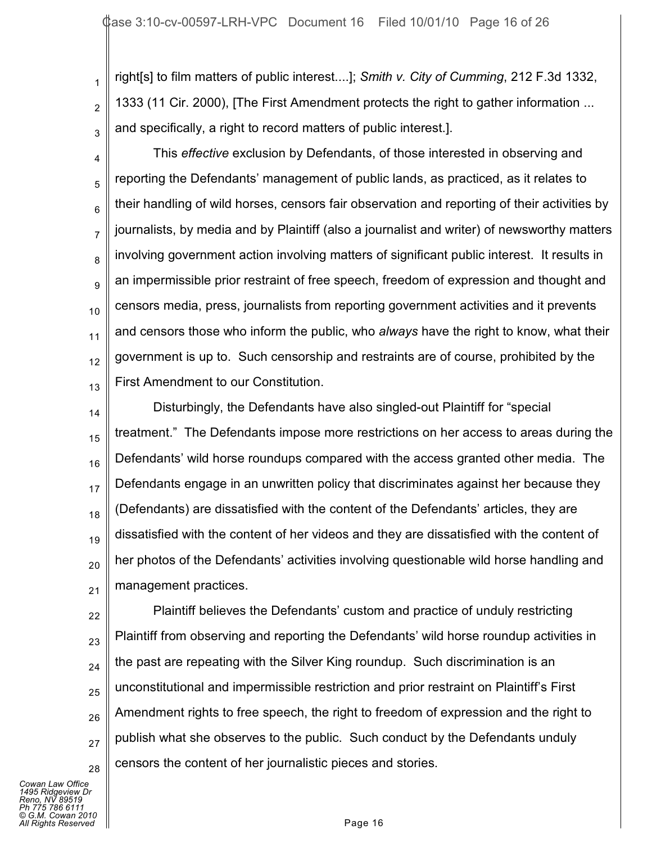2 3 right[s] to film matters of public interest....]; *Smith v. City of Cumming*, 212 F.3d 1332, 1333 (11 Cir. 2000), [The First Amendment protects the right to gather information ... and specifically, a right to record matters of public interest.].

4 5 6 7 8 9 10 11 12 13 This *effective* exclusion by Defendants, of those interested in observing and reporting the Defendants' management of public lands, as practiced, as it relates to their handling of wild horses, censors fair observation and reporting of their activities by journalists, by media and by Plaintiff (also a journalist and writer) of newsworthy matters involving government action involving matters of significant public interest. It results in an impermissible prior restraint of free speech, freedom of expression and thought and censors media, press, journalists from reporting government activities and it prevents and censors those who inform the public, who *always* have the right to know, what their government is up to. Such censorship and restraints are of course, prohibited by the First Amendment to our Constitution.

14 15 16 17 18 19 20 21 Disturbingly, the Defendants have also singled-out Plaintiff for "special treatment." The Defendants impose more restrictions on her access to areas during the Defendants' wild horse roundups compared with the access granted other media. The Defendants engage in an unwritten policy that discriminates against her because they (Defendants) are dissatisfied with the content of the Defendants' articles, they are dissatisfied with the content of her videos and they are dissatisfied with the content of her photos of the Defendants' activities involving questionable wild horse handling and management practices.

22 23 24 25 26 27 28 Plaintiff believes the Defendants' custom and practice of unduly restricting Plaintiff from observing and reporting the Defendants' wild horse roundup activities in the past are repeating with the Silver King roundup. Such discrimination is an unconstitutional and impermissible restriction and prior restraint on Plaintiff's First Amendment rights to free speech, the right to freedom of expression and the right to publish what she observes to the public. Such conduct by the Defendants unduly censors the content of her journalistic pieces and stories.

*Cowan Law Office 1495 Ridgeview Dr Reno, NV 89519 Ph 775 786 6111 © G.M. Cowan 2010 Alights Reserved* Page 16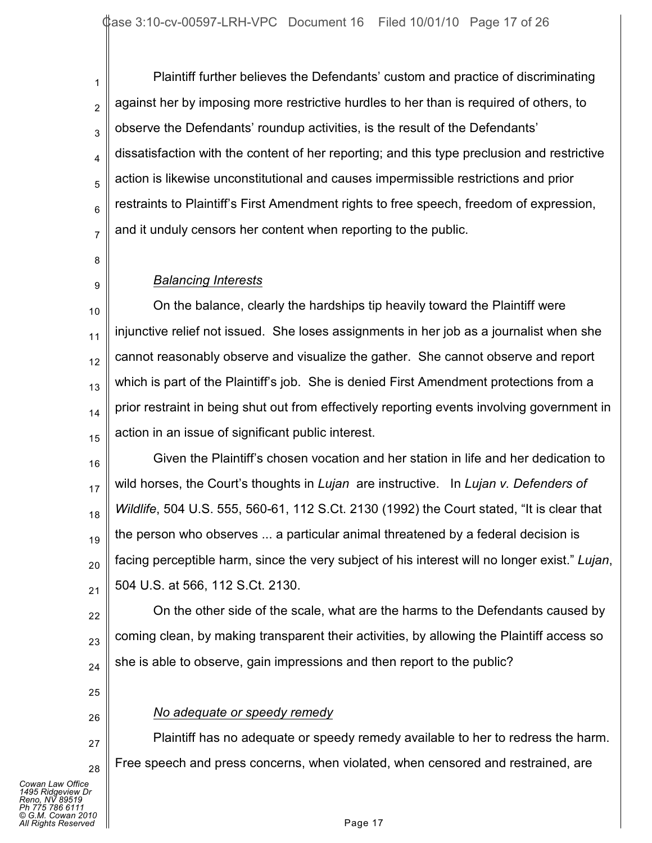2 3 4 5 6 7 Plaintiff further believes the Defendants' custom and practice of discriminating against her by imposing more restrictive hurdles to her than is required of others, to observe the Defendants' roundup activities, is the result of the Defendants' dissatisfaction with the content of her reporting; and this type preclusion and restrictive action is likewise unconstitutional and causes impermissible restrictions and prior restraints to Plaintiff's First Amendment rights to free speech, freedom of expression, and it unduly censors her content when reporting to the public.

8

9

1

# *Balancing Interests*

10 11 12 13 14 15 On the balance, clearly the hardships tip heavily toward the Plaintiff were injunctive relief not issued. She loses assignments in her job as a journalist when she cannot reasonably observe and visualize the gather. She cannot observe and report which is part of the Plaintiff's job. She is denied First Amendment protections from a prior restraint in being shut out from effectively reporting events involving government in action in an issue of significant public interest.

16 17 18 19 20 21 Given the Plaintiff's chosen vocation and her station in life and her dedication to wild horses, the Court's thoughts in *Lujan* are instructive. In *Lujan v. Defenders of Wildlife*, 504 U.S. 555, 560-61, 112 S.Ct. 2130 (1992) the Court stated, "It is clear that the person who observes ... a particular animal threatened by a federal decision is facing perceptible harm, since the very subject of his interest will no longer exist." *Lujan*, 504 U.S. at 566, 112 S.Ct. 2130.

22 23 24 On the other side of the scale, what are the harms to the Defendants caused by coming clean, by making transparent their activities, by allowing the Plaintiff access so she is able to observe, gain impressions and then report to the public?

- 25
- 26

27

28

## *No adequate or speedy remedy*

Plaintiff has no adequate or speedy remedy available to her to redress the harm. Free speech and press concerns, when violated, when censored and restrained, are

*Cowan Law Office 1495 Ridgeview Dr Reno, NV 89519 Ph 775 786 6111 © G.M. Cowan 2010 Alights Reserved* Page 17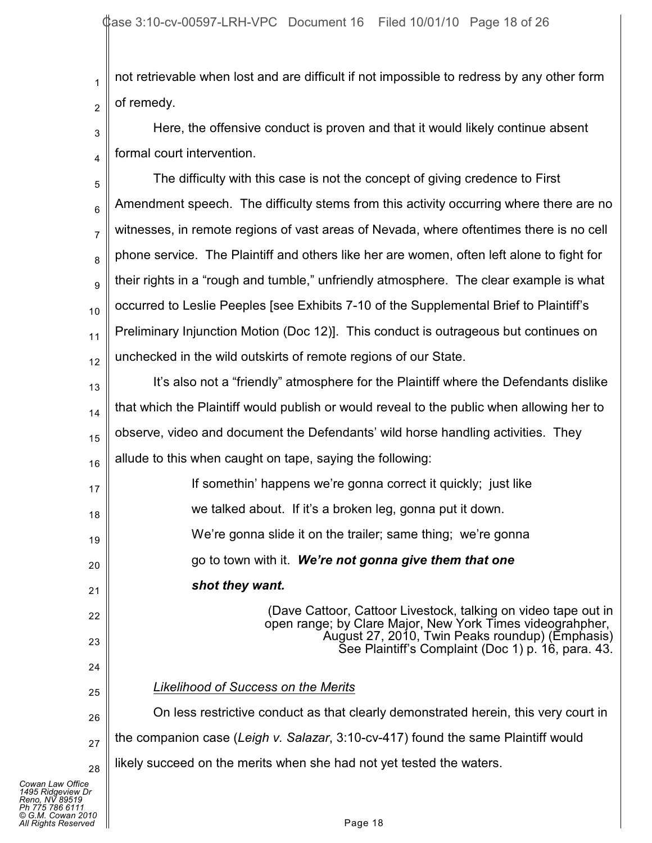1 2 not retrievable when lost and are difficult if not impossible to redress by any other form of remedy.

3 4 Here, the offensive conduct is proven and that it would likely continue absent formal court intervention.

5 6 7 8 9 10 11 12 13 14 15 16 17 18 19 20 21 22 23 24 25 26 27 28 The difficulty with this case is not the concept of giving credence to First Amendment speech. The difficulty stems from this activity occurring where there are no witnesses, in remote regions of vast areas of Nevada, where oftentimes there is no cell phone service. The Plaintiff and others like her are women, often left alone to fight for their rights in a "rough and tumble," unfriendly atmosphere. The clear example is what occurred to Leslie Peeples [see Exhibits 7-10 of the Supplemental Brief to Plaintiff's Preliminary Injunction Motion (Doc 12)]. This conduct is outrageous but continues on unchecked in the wild outskirts of remote regions of our State. It's also not a "friendly" atmosphere for the Plaintiff where the Defendants dislike that which the Plaintiff would publish or would reveal to the public when allowing her to observe, video and document the Defendants' wild horse handling activities. They allude to this when caught on tape, saying the following: If somethin' happens we're gonna correct it quickly; just like we talked about. If it's a broken leg, gonna put it down. We're gonna slide it on the trailer; same thing; we're gonna go to town with it. *We're not gonna give them that one shot they want.* (Dave Cattoor, Cattoor Livestock, talking on video tape out in open range; by Clare Major, New York Times videograhpher, August 27, 2010, Twin Peaks roundup) (Emphasis) See Plaintiff's Complaint (Doc 1) p. 16, para. 43. *Likelihood of Success on the Merits* On less restrictive conduct as that clearly demonstrated herein, this very court in the companion case (*Leigh v. Salazar*, 3:10-cv-417) found the same Plaintiff would likely succeed on the merits when she had not yet tested the waters.

*Cowan Law Office 1495 Ridgeview Dr Reno, NV 89519 Ph 775 786 6111 © G.M. Cowan 2010 All Rights Reserved* Page 18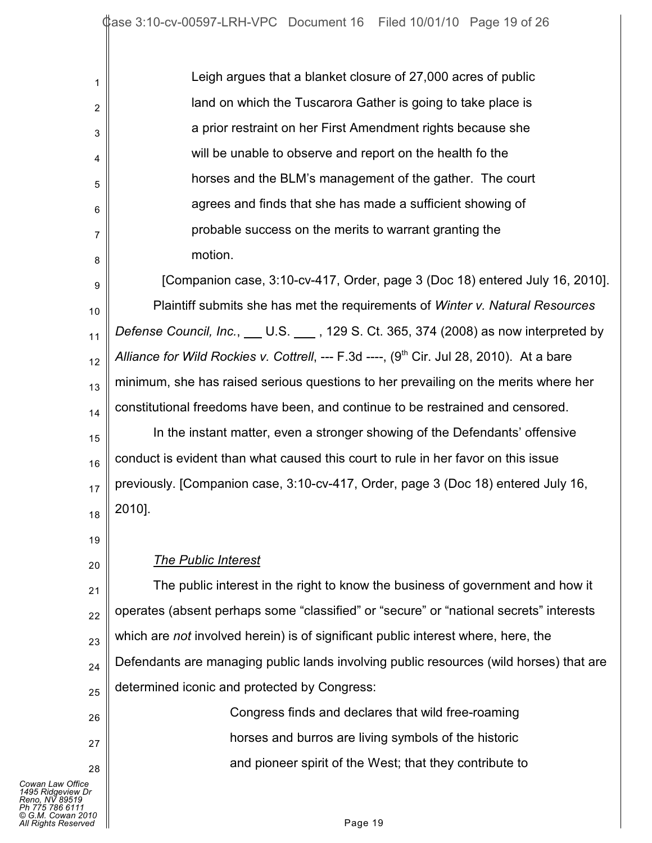Leigh argues that a blanket closure of 27,000 acres of public land on which the Tuscarora Gather is going to take place is a prior restraint on her First Amendment rights because she will be unable to observe and report on the health fo the horses and the BLM's management of the gather. The court agrees and finds that she has made a sufficient showing of probable success on the merits to warrant granting the motion.

9 10 11 12 13 14 15 16 17 18 [Companion case, 3:10-cv-417, Order, page 3 (Doc 18) entered July 16, 2010]. Plaintiff submits she has met the requirements of *Winter v. Natural Resources Defense Council, Inc.*, U.S. 129 S. Ct. 365, 374 (2008) as now interpreted by *Alliance for Wild Rockies v. Cottrell*, --- F.3d ----, (9<sup>th</sup> Cir. Jul 28, 2010). At a bare minimum, she has raised serious questions to her prevailing on the merits where her constitutional freedoms have been, and continue to be restrained and censored. In the instant matter, even a stronger showing of the Defendants' offensive conduct is evident than what caused this court to rule in her favor on this issue previously. [Companion case, 3:10-cv-417, Order, page 3 (Doc 18) entered July 16, 2010].

19

20

26

27

28

1

2

3

4

5

6

7

8

## *The Public Interest*

21 22 23 24 25 The public interest in the right to know the business of government and how it operates (absent perhaps some "classified" or "secure" or "national secrets" interests which are *not* involved herein) is of significant public interest where, here, the Defendants are managing public lands involving public resources (wild horses) that are determined iconic and protected by Congress:

> Congress finds and declares that wild free-roaming horses and burros are living symbols of the historic and pioneer spirit of the West; that they contribute to

*Cowan Law Office 1495 Ridgeview Dr Reno, NV 89519 Ph 775 786 6111 © G.M. Cowan 2010 All Rights Reserved* Page 19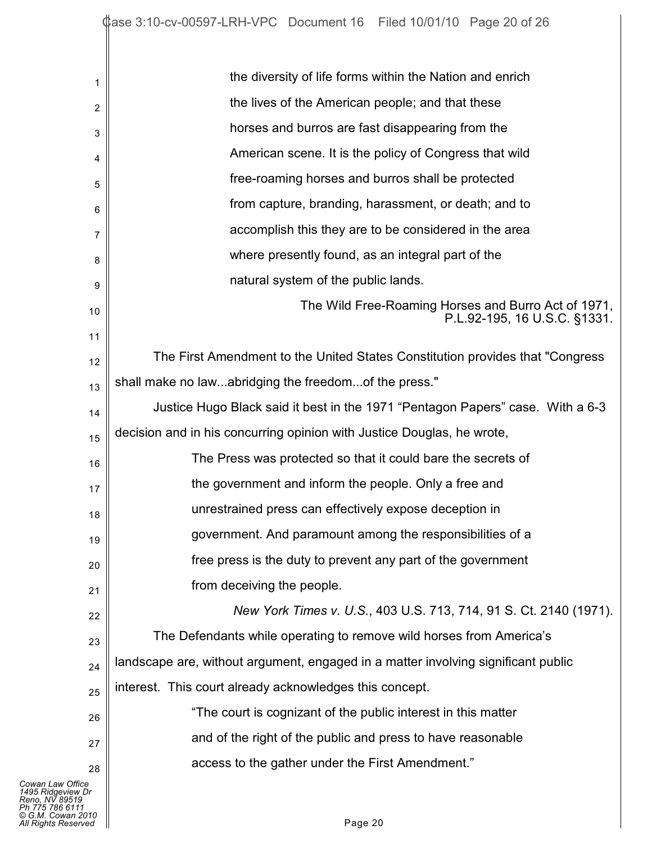| 1                                                                                                                      | the diversity of life forms within the Nation and enrich                            |
|------------------------------------------------------------------------------------------------------------------------|-------------------------------------------------------------------------------------|
| 2                                                                                                                      | the lives of the American people; and that these                                    |
| 3                                                                                                                      | horses and burros are fast disappearing from the                                    |
| 4                                                                                                                      | American scene. It is the policy of Congress that wild                              |
| 5                                                                                                                      | free-roaming horses and burros shall be protected                                   |
| 6                                                                                                                      | from capture, branding, harassment, or death; and to                                |
| 7                                                                                                                      | accomplish this they are to be considered in the area                               |
| 8                                                                                                                      | where presently found, as an integral part of the                                   |
| 9                                                                                                                      | natural system of the public lands.                                                 |
| 10                                                                                                                     | The Wild Free-Roaming Horses and Burro Act of 1971,<br>P.L.92-195, 16 U.S.C. §1331. |
| 11                                                                                                                     |                                                                                     |
| 12                                                                                                                     | The First Amendment to the United States Constitution provides that "Congress"      |
| 13                                                                                                                     | shall make no lawabridging the freedomof the press."                                |
| 14                                                                                                                     | Justice Hugo Black said it best in the 1971 "Pentagon Papers" case. With a 6-3      |
| 15                                                                                                                     | decision and in his concurring opinion with Justice Douglas, he wrote,              |
| 16                                                                                                                     | The Press was protected so that it could bare the secrets of                        |
| 17                                                                                                                     | the government and inform the people. Only a free and                               |
| 18                                                                                                                     | unrestrained press can effectively expose deception in                              |
| 19                                                                                                                     | government. And paramount among the responsibilities of a                           |
| 20                                                                                                                     | free press is the duty to prevent any part of the government                        |
| 21                                                                                                                     | from deceiving the people.                                                          |
| 22                                                                                                                     | New York Times v. U.S., 403 U.S. 713, 714, 91 S. Ct. 2140 (1971).                   |
| 23                                                                                                                     | The Defendants while operating to remove wild horses from America's                 |
| 24                                                                                                                     | landscape are, without argument, engaged in a matter involving significant public   |
| 25                                                                                                                     | interest. This court already acknowledges this concept.                             |
| 26                                                                                                                     | "The court is cognizant of the public interest in this matter                       |
| 27                                                                                                                     | and of the right of the public and press to have reasonable                         |
| 28                                                                                                                     | access to the gather under the First Amendment."                                    |
| Cowan Law Office<br>1495 Ridgeview Dr<br>Reno, NV 89519<br>Ph 775 786 6111<br>© G.M. Cowan 2010<br>All Rights Reserved | Page 20                                                                             |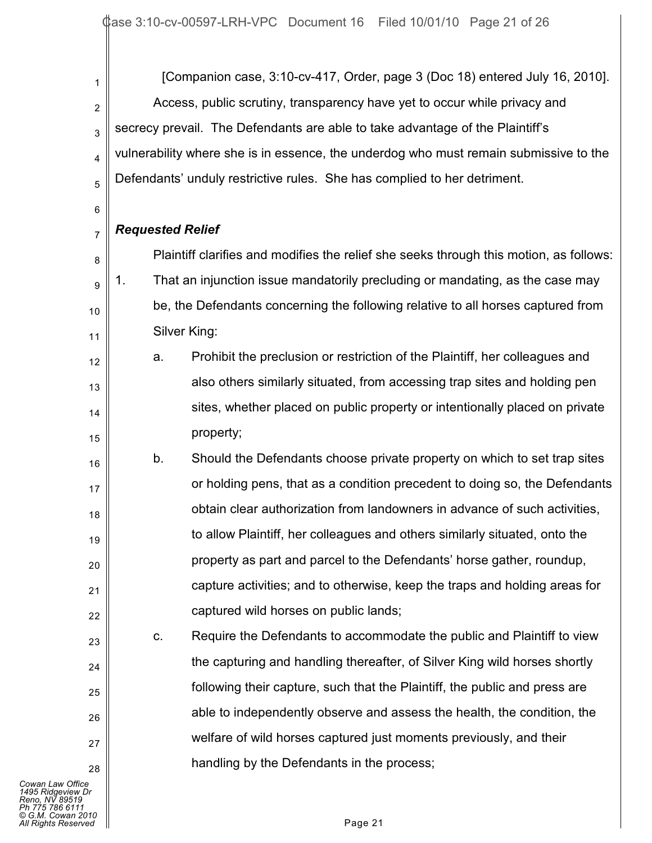[Companion case, 3:10-cv-417, Order, page 3 (Doc 18) entered July 16, 2010]. Access, public scrutiny, transparency have yet to occur while privacy and secrecy prevail. The Defendants are able to take advantage of the Plaintiff's vulnerability where she is in essence, the underdog who must remain submissive to the Defendants' unduly restrictive rules. She has complied to her detriment.

7 *Requested Relief*

1

2

3

4

5

6

12

13

14

15

23

24

25

26

27

28

8 9 10 11 Plaintiff clarifies and modifies the relief she seeks through this motion, as follows: 1. That an injunction issue mandatorily precluding or mandating, as the case may be, the Defendants concerning the following relative to all horses captured from Silver King:

- a. Prohibit the preclusion or restriction of the Plaintiff, her colleagues and also others similarly situated, from accessing trap sites and holding pen sites, whether placed on public property or intentionally placed on private property;
- 16 17 18 19 20 21 22 b. Should the Defendants choose private property on which to set trap sites or holding pens, that as a condition precedent to doing so, the Defendants obtain clear authorization from landowners in advance of such activities, to allow Plaintiff, her colleagues and others similarly situated, onto the property as part and parcel to the Defendants' horse gather, roundup, capture activities; and to otherwise, keep the traps and holding areas for captured wild horses on public lands;

c. Require the Defendants to accommodate the public and Plaintiff to view the capturing and handling thereafter, of Silver King wild horses shortly following their capture, such that the Plaintiff, the public and press are able to independently observe and assess the health, the condition, the welfare of wild horses captured just moments previously, and their handling by the Defendants in the process;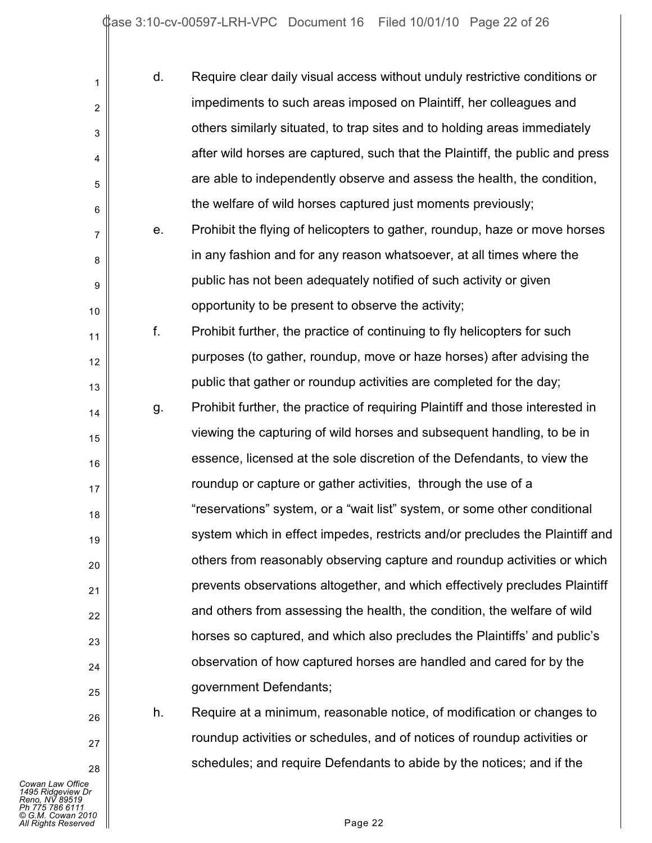| 1  | d. | Require clear daily visual access without unduly restrictive conditions or    |
|----|----|-------------------------------------------------------------------------------|
| 2  |    | impediments to such areas imposed on Plaintiff, her colleagues and            |
| 3  |    | others similarly situated, to trap sites and to holding areas immediately     |
| 4  |    | after wild horses are captured, such that the Plaintiff, the public and press |
| 5  |    | are able to independently observe and assess the health, the condition,       |
| 6  |    | the welfare of wild horses captured just moments previously;                  |
| 7  | e. | Prohibit the flying of helicopters to gather, roundup, haze or move horses    |
| 8  |    | in any fashion and for any reason whatsoever, at all times where the          |
| 9  |    | public has not been adequately notified of such activity or given             |
| 10 |    | opportunity to be present to observe the activity;                            |
| 11 | f. | Prohibit further, the practice of continuing to fly helicopters for such      |
| 12 |    | purposes (to gather, roundup, move or haze horses) after advising the         |
| 13 |    | public that gather or roundup activities are completed for the day;           |
| 14 | g. | Prohibit further, the practice of requiring Plaintiff and those interested in |
| 15 |    | viewing the capturing of wild horses and subsequent handling, to be in        |
| 16 |    | essence, licensed at the sole discretion of the Defendants, to view the       |
| 17 |    | roundup or capture or gather activities, through the use of a                 |
| 18 |    | "reservations" system, or a "wait list" system, or some other conditional     |
| 19 |    | system which in effect impedes, restricts and/or precludes the Plaintiff and  |
| 20 |    | others from reasonably observing capture and roundup activities or which      |
| 21 |    | prevents observations altogether, and which effectively precludes Plaintiff   |
| 22 |    | and others from assessing the health, the condition, the welfare of wild      |
| 23 |    | horses so captured, and which also precludes the Plaintiffs' and public's     |
| 24 |    | observation of how captured horses are handled and cared for by the           |
| 25 |    | government Defendants;                                                        |
| 26 | h. | Require at a minimum, reasonable notice, of modification or changes to        |
| 27 |    | roundup activities or schedules, and of notices of roundup activities or      |

*Cowan Law Office*<br>1495 Ridgeview Dr<br>Reno, NV 89519<br>Ph 775 786 6111<br>© G.M. Cowan 2010<br>All Rights Reserved Page 22

28

schedules; and require Defendants to abide by the notices; and if the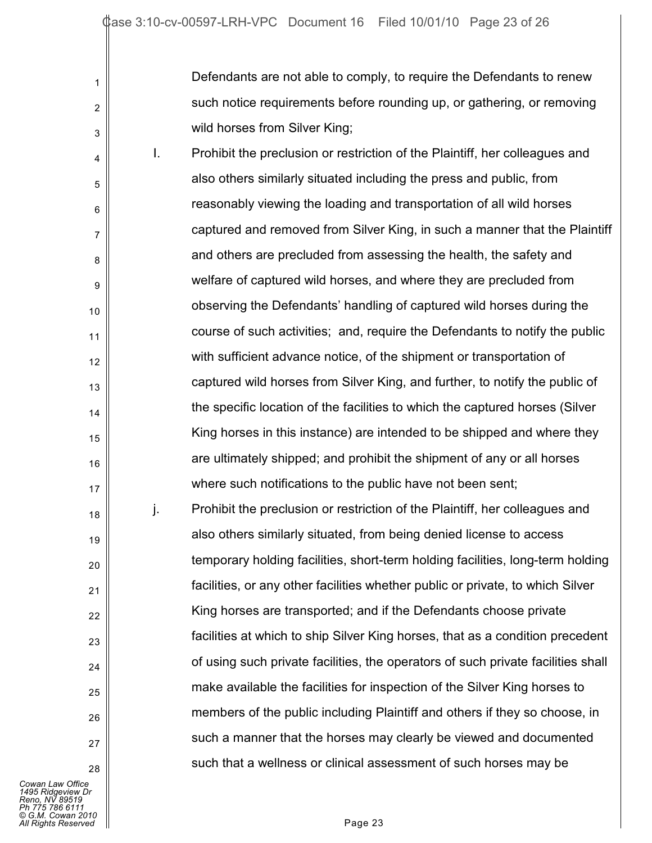Defendants are not able to comply, to require the Defendants to renew such notice requirements before rounding up, or gathering, or removing wild horses from Silver King;

4 5 6 7 8 9 10 11 12 13 14 15 16 17 18 I. Prohibit the preclusion or restriction of the Plaintiff, her colleagues and also others similarly situated including the press and public, from reasonably viewing the loading and transportation of all wild horses captured and removed from Silver King, in such a manner that the Plaintiff and others are precluded from assessing the health, the safety and welfare of captured wild horses, and where they are precluded from observing the Defendants' handling of captured wild horses during the course of such activities; and, require the Defendants to notify the public with sufficient advance notice, of the shipment or transportation of captured wild horses from Silver King, and further, to notify the public of the specific location of the facilities to which the captured horses (Silver King horses in this instance) are intended to be shipped and where they are ultimately shipped; and prohibit the shipment of any or all horses where such notifications to the public have not been sent; j. Prohibit the preclusion or restriction of the Plaintiff, her colleagues and

also others similarly situated, from being denied license to access temporary holding facilities, short-term holding facilities, long-term holding facilities, or any other facilities whether public or private, to which Silver King horses are transported; and if the Defendants choose private facilities at which to ship Silver King horses, that as a condition precedent of using such private facilities, the operators of such private facilities shall make available the facilities for inspection of the Silver King horses to members of the public including Plaintiff and others if they so choose, in such a manner that the horses may clearly be viewed and documented such that a wellness or clinical assessment of such horses may be

*Cowan Law Office 1495 Ridgeview Dr Reno, NV 89519 Ph 775 786 6111 © G.M. Cowan 2010 All Rights Reserved* Page 23

1

2

3

19

20

21

22

23

 $24$ 

25

26

27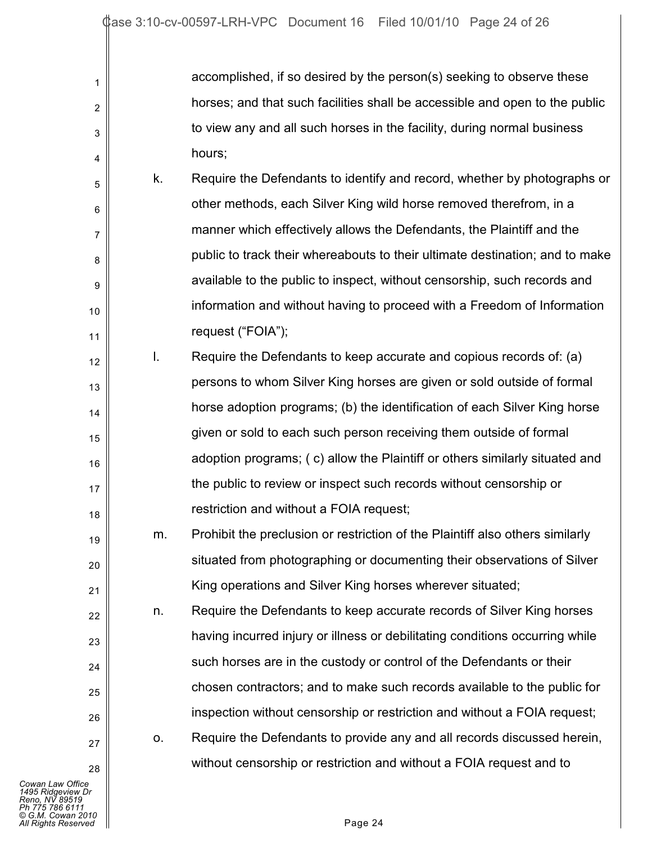| accomplished, if so desired by the person(s) seeking to observe these       |
|-----------------------------------------------------------------------------|
| horses; and that such facilities shall be accessible and open to the public |
| to view any and all such horses in the facility, during normal business     |
| hours;                                                                      |

5 8 10 k. Require the Defendants to identify and record, whether by photographs or other methods, each Silver King wild horse removed therefrom, in a manner which effectively allows the Defendants, the Plaintiff and the public to track their whereabouts to their ultimate destination; and to make available to the public to inspect, without censorship, such records and information and without having to proceed with a Freedom of Information request ("FOIA");

12 13 14 15 16 17 18 l. Require the Defendants to keep accurate and copious records of: (a) persons to whom Silver King horses are given or sold outside of formal horse adoption programs; (b) the identification of each Silver King horse given or sold to each such person receiving them outside of formal adoption programs; ( c) allow the Plaintiff or others similarly situated and the public to review or inspect such records without censorship or restriction and without a FOIA request;

m. Prohibit the preclusion or restriction of the Plaintiff also others similarly situated from photographing or documenting their observations of Silver King operations and Silver King horses wherever situated;

n. Require the Defendants to keep accurate records of Silver King horses having incurred injury or illness or debilitating conditions occurring while such horses are in the custody or control of the Defendants or their chosen contractors; and to make such records available to the public for inspection without censorship or restriction and without a FOIA request;

o. Require the Defendants to provide any and all records discussed herein, without censorship or restriction and without a FOIA request and to

*Cowan Law Office 1495 Ridgeview Dr Reno, NV 89519 Ph 775 786 6111 © G.M. Cowan 2010 All Rights Reserved* Page 24

1

2

3

4

6

7

9

11

19

20

21

22

23

24

25

26

27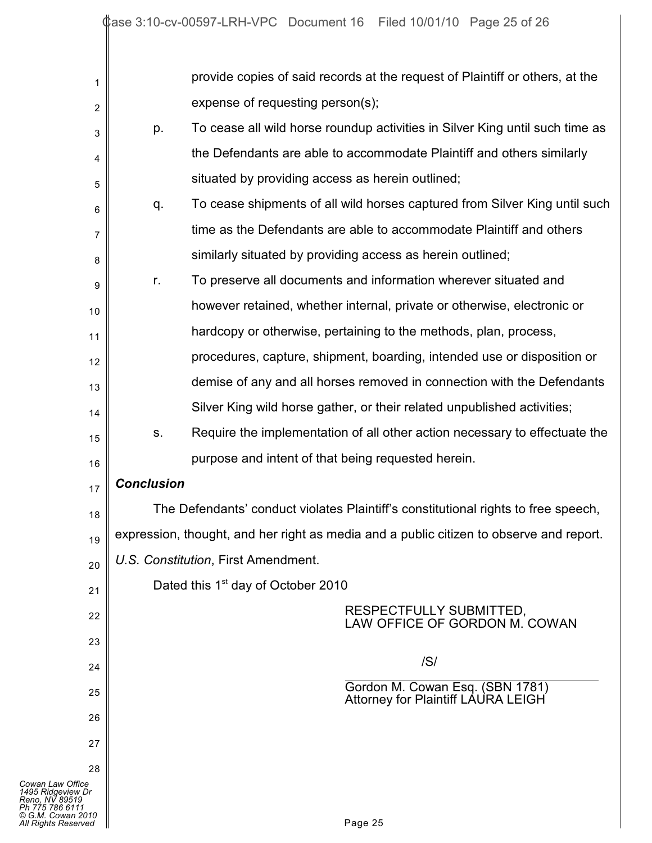| 1                                                                             |                                                                                         | provide copies of said records at the request of Plaintiff or others, at the       |  |
|-------------------------------------------------------------------------------|-----------------------------------------------------------------------------------------|------------------------------------------------------------------------------------|--|
| $\overline{c}$                                                                |                                                                                         | expense of requesting person(s);                                                   |  |
| 3                                                                             | p.                                                                                      | To cease all wild horse roundup activities in Silver King until such time as       |  |
| 4                                                                             |                                                                                         | the Defendants are able to accommodate Plaintiff and others similarly              |  |
| 5                                                                             |                                                                                         | situated by providing access as herein outlined;                                   |  |
| 6                                                                             | q.                                                                                      | To cease shipments of all wild horses captured from Silver King until such         |  |
| 7                                                                             |                                                                                         | time as the Defendants are able to accommodate Plaintiff and others                |  |
| 8                                                                             |                                                                                         | similarly situated by providing access as herein outlined;                         |  |
| 9                                                                             | r.                                                                                      | To preserve all documents and information wherever situated and                    |  |
| 10                                                                            |                                                                                         | however retained, whether internal, private or otherwise, electronic or            |  |
| 11                                                                            |                                                                                         | hardcopy or otherwise, pertaining to the methods, plan, process,                   |  |
| 12                                                                            |                                                                                         | procedures, capture, shipment, boarding, intended use or disposition or            |  |
| 13                                                                            |                                                                                         | demise of any and all horses removed in connection with the Defendants             |  |
| 14                                                                            |                                                                                         | Silver King wild horse gather, or their related unpublished activities;            |  |
| 15                                                                            | S.                                                                                      | Require the implementation of all other action necessary to effectuate the         |  |
| 16                                                                            |                                                                                         | purpose and intent of that being requested herein.                                 |  |
| 17                                                                            | <b>Conclusion</b>                                                                       |                                                                                    |  |
| 18                                                                            |                                                                                         | The Defendants' conduct violates Plaintiff's constitutional rights to free speech, |  |
| 19                                                                            | expression, thought, and her right as media and a public citizen to observe and report. |                                                                                    |  |
| 20                                                                            |                                                                                         | U.S. Constitution, First Amendment.                                                |  |
| 21                                                                            |                                                                                         | Dated this 1 <sup>st</sup> day of October 2010                                     |  |
| 22                                                                            |                                                                                         | RESPECTFULLY SUBMITTED,                                                            |  |
| 23                                                                            |                                                                                         | LAW OFFICE OF GORDON M. COWAN                                                      |  |
| 24                                                                            |                                                                                         | /S/                                                                                |  |
| 25                                                                            |                                                                                         | Gordon M. Cowan Esq. (SBN 1781)                                                    |  |
| 26                                                                            |                                                                                         | <b>Attorney for Plaintiff LAURA LEIGH</b>                                          |  |
| 27                                                                            |                                                                                         |                                                                                    |  |
| 28                                                                            |                                                                                         |                                                                                    |  |
| Cowan Law Office<br>1495 Ridgeview Dr                                         |                                                                                         |                                                                                    |  |
| Reno, NV 89519<br>Ph 775 786 6111<br>© G.M. Cowan 2010<br>All Rights Reserved |                                                                                         | Page 25                                                                            |  |